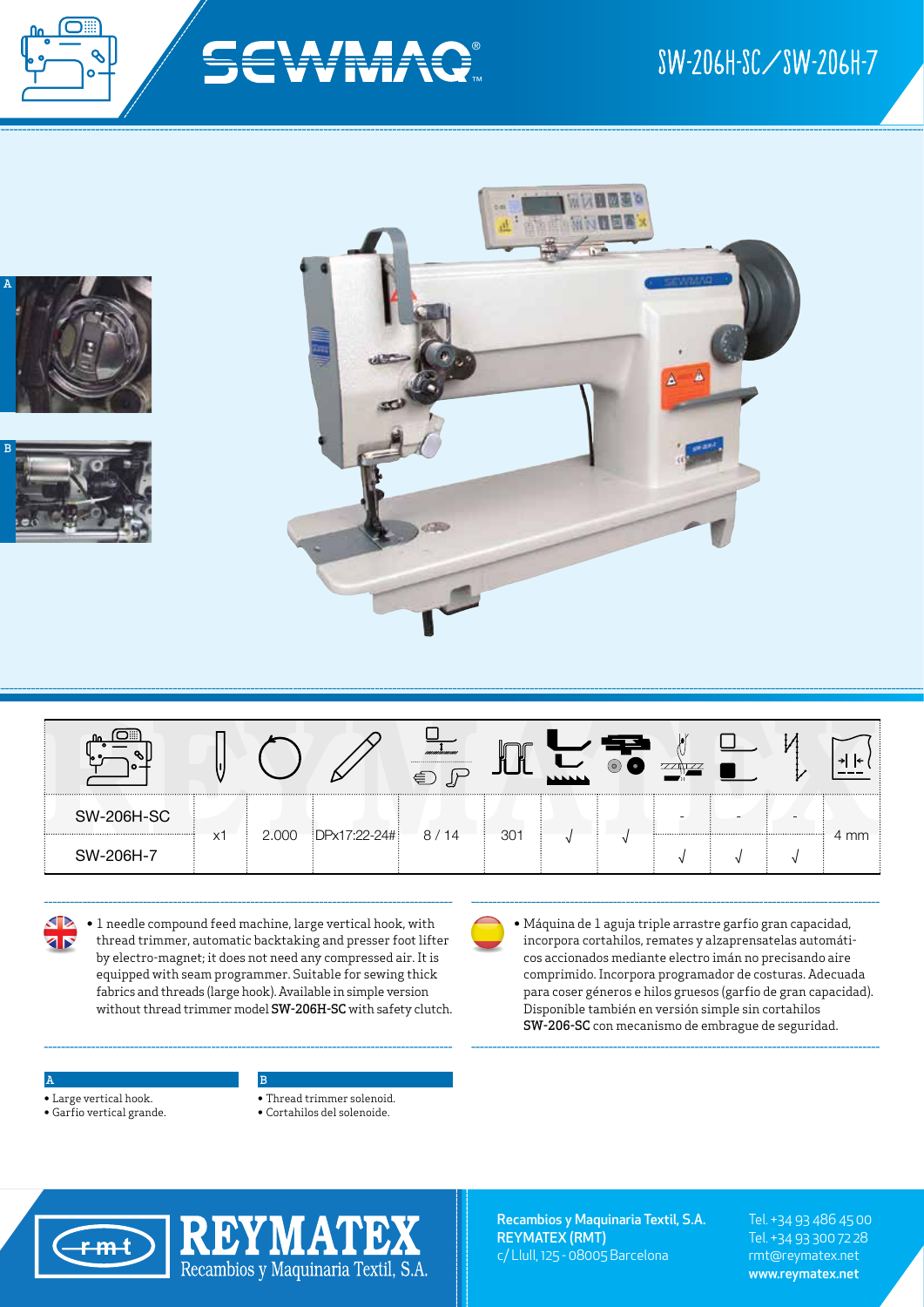





**KR**<br>KR

• 1 needle compound feed machine, large vertical hook, with thread trimmer, automatic backtaking and presser foot lifter by electro-magnet; it does not need any compressed air. It is equipped with seam programmer. Suitable for sewing thick fabrics and threads (large hook). Available in simple version without thread trimmer model SW-206H-SC with safety clutch.

B

• Máquina de 1 aguja triple arrastre garfio gran capacidad, incorpora cortahilos, remates y alzaprensatelas automáticos accionados mediante electro imán no precisando aire comprimido. Incorpora programador de costuras. Adecuada para coser géneros e hilos gruesos (garfio de gran capacidad). Disponible también en versión simple sin cortahilos SW-206-SC con mecanismo de embrague de seguridad.

## A

- Large vertical hook.
- Garfio vertical grande.
- Thread trimmer solenoid.
- Cortahilos del solenoide.



Recambios y Maquinaria Textil, S.A. REYMATEX (RMT) c/ Llull, 125 - 08005 Barcelona

Tel. +34 93 486 45 00 Tel. +34 93 300 72 28 rmt@reymatex.net www.reymatex.net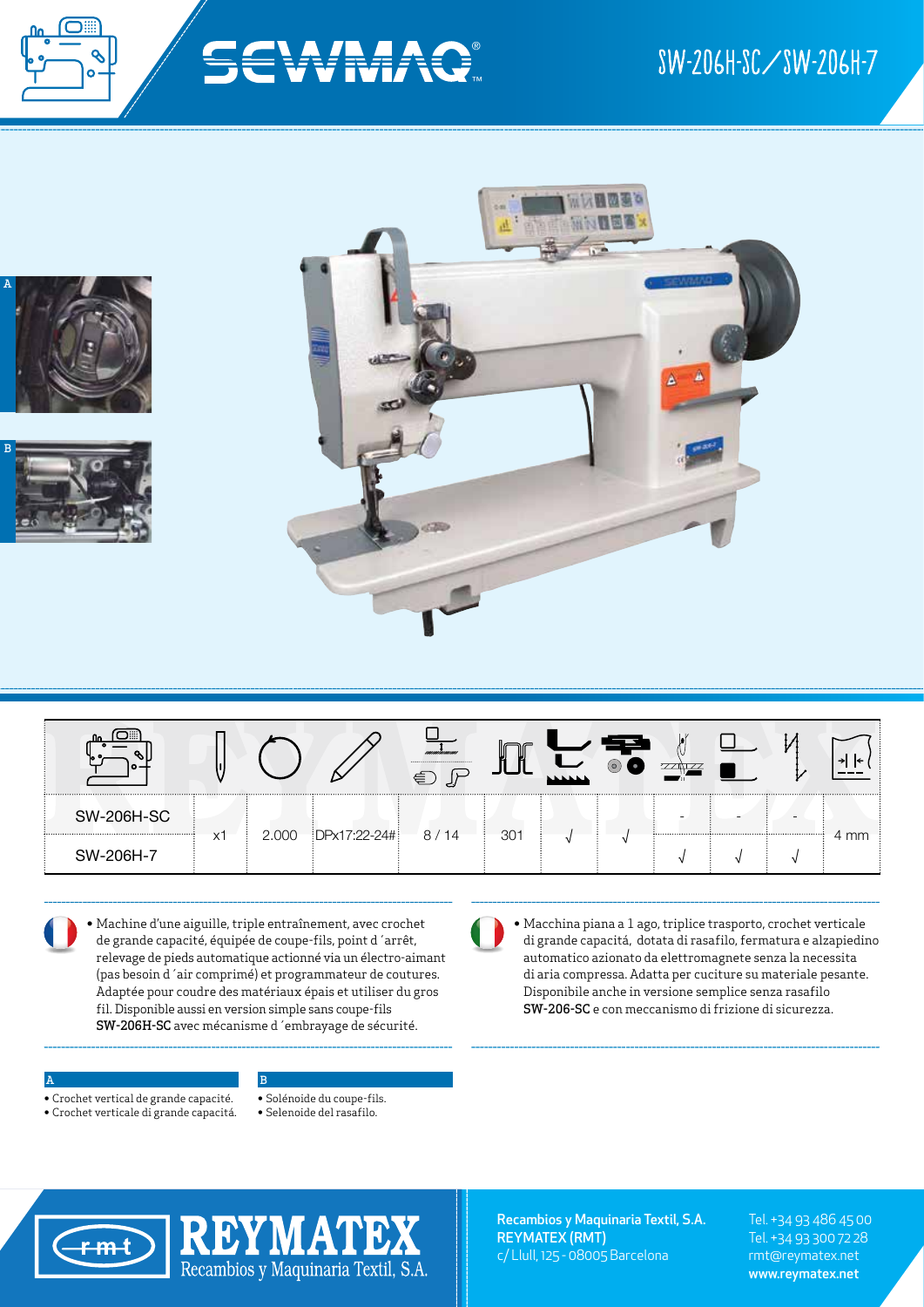





• Machine d'une aiguille, triple entraînement, avec crochet de grande capacité, équipée de coupe-fils, point d´arrêt, relevage de pieds automatique actionné via un électro-aimant (pas besoin d´air comprimé) et programmateur de coutures. Adaptée pour coudre des matériaux épais et utiliser du gros fil. Disponible aussi en version simple sans coupe-fils SW-206H-SC avec mécanisme d´embrayage de sécurité.

B

• Macchina piana a 1 ago, triplice trasporto, crochet verticale di grande capacitá, dotata di rasafilo, fermatura e alzapiedino automatico azionato da elettromagnete senza la necessita di aria compressa. Adatta per cuciture su materiale pesante. Disponibile anche in versione semplice senza rasafilo SW-206-SC e con meccanismo di frizione di sicurezza.

## A

- Crochet vertical de grande capacité.
- Crochet verticale di grande capacitá.
- Solénoide du coupe-fils.
- Selenoide del rasafilo.



Recambios y Maquinaria Textil, S.A. REYMATEX (RMT) c/ Llull, 125 - 08005 Barcelona

Tel. +34 93 486 45 00 Tel. +34 93 300 72 28 rmt@reymatex.net www.reymatex.net